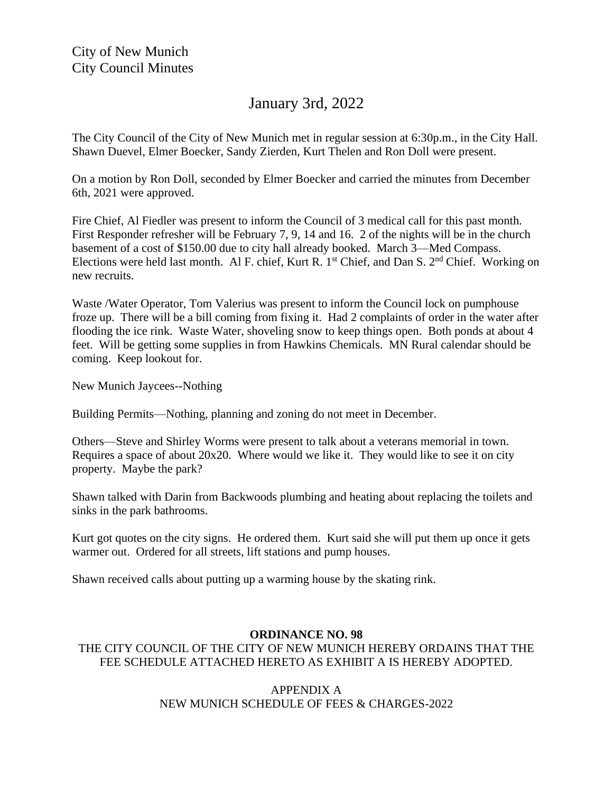## January 3rd, 2022

The City Council of the City of New Munich met in regular session at 6:30p.m., in the City Hall. Shawn Duevel, Elmer Boecker, Sandy Zierden, Kurt Thelen and Ron Doll were present.

On a motion by Ron Doll, seconded by Elmer Boecker and carried the minutes from December 6th, 2021 were approved.

Fire Chief, Al Fiedler was present to inform the Council of 3 medical call for this past month. First Responder refresher will be February 7, 9, 14 and 16. 2 of the nights will be in the church basement of a cost of \$150.00 due to city hall already booked. March 3—Med Compass. Elections were held last month. Al F. chief, Kurt R. 1<sup>st</sup> Chief, and Dan S. 2<sup>nd</sup> Chief. Working on new recruits.

Waste /Water Operator, Tom Valerius was present to inform the Council lock on pumphouse froze up. There will be a bill coming from fixing it. Had 2 complaints of order in the water after flooding the ice rink. Waste Water, shoveling snow to keep things open. Both ponds at about 4 feet. Will be getting some supplies in from Hawkins Chemicals. MN Rural calendar should be coming. Keep lookout for.

New Munich Jaycees--Nothing

Building Permits—Nothing, planning and zoning do not meet in December.

Others—Steve and Shirley Worms were present to talk about a veterans memorial in town. Requires a space of about 20x20. Where would we like it. They would like to see it on city property. Maybe the park?

Shawn talked with Darin from Backwoods plumbing and heating about replacing the toilets and sinks in the park bathrooms.

Kurt got quotes on the city signs. He ordered them. Kurt said she will put them up once it gets warmer out. Ordered for all streets, lift stations and pump houses.

Shawn received calls about putting up a warming house by the skating rink.

## **ORDINANCE NO. 98**

## THE CITY COUNCIL OF THE CITY OF NEW MUNICH HEREBY ORDAINS THAT THE FEE SCHEDULE ATTACHED HERETO AS EXHIBIT A IS HEREBY ADOPTED.

## APPENDIX A NEW MUNICH SCHEDULE OF FEES & CHARGES-2022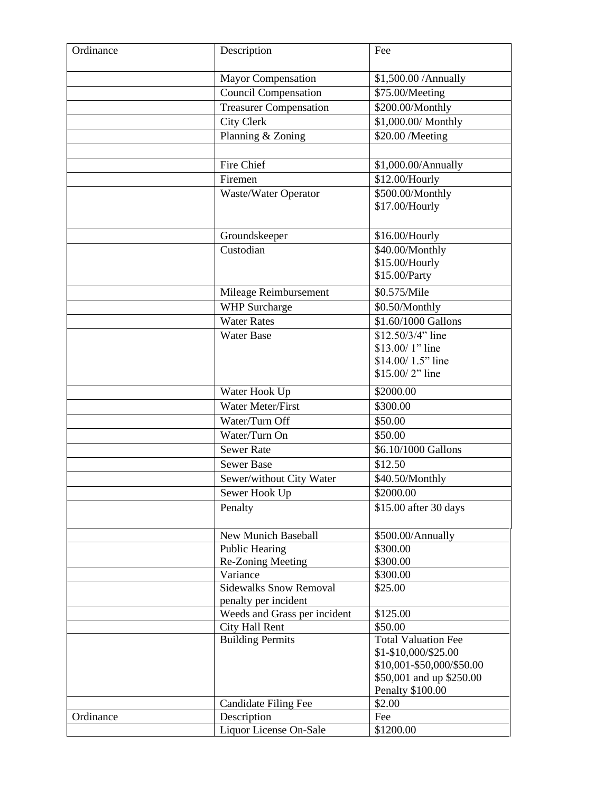| Ordinance | Description                   | Fee                                               |
|-----------|-------------------------------|---------------------------------------------------|
|           | <b>Mayor Compensation</b>     | \$1,500.00 / Annually                             |
|           | <b>Council Compensation</b>   | \$75.00/Meeting                                   |
|           | <b>Treasurer Compensation</b> | \$200.00/Monthly                                  |
|           | <b>City Clerk</b>             | \$1,000.00/ Monthly                               |
|           | Planning & Zoning             | \$20.00 /Meeting                                  |
|           |                               |                                                   |
|           | Fire Chief                    | \$1,000.00/Annually                               |
|           | Firemen                       | \$12.00/Hourly                                    |
|           | Waste/Water Operator          | \$500.00/Monthly<br>\$17.00/Hourly                |
|           |                               |                                                   |
|           | Groundskeeper                 | \$16.00/Hourly                                    |
|           | Custodian                     | \$40.00/Monthly                                   |
|           |                               | \$15.00/Hourly                                    |
|           |                               | \$15.00/Party                                     |
|           | Mileage Reimbursement         | \$0.575/Mile                                      |
|           | <b>WHP</b> Surcharge          | \$0.50/Monthly                                    |
|           | <b>Water Rates</b>            | \$1.60/1000 Gallons                               |
|           | <b>Water Base</b>             | \$12.50/3/4" line                                 |
|           |                               | \$13.00/1" line                                   |
|           |                               | \$14.00/1.5" line                                 |
|           |                               | \$15.00/2" line                                   |
|           | Water Hook Up                 | \$2000.00                                         |
|           | Water Meter/First             | \$300.00                                          |
|           | Water/Turn Off                | \$50.00                                           |
|           | Water/Turn On                 | \$50.00                                           |
|           | <b>Sewer Rate</b>             | \$6.10/1000 Gallons                               |
|           | <b>Sewer Base</b>             | \$12.50                                           |
|           | Sewer/without City Water      | \$40.50/Monthly                                   |
|           | Sewer Hook Up                 | \$2000.00                                         |
|           | Penalty                       | \$15.00 after 30 days                             |
|           | New Munich Baseball           | \$500.00/Annually                                 |
|           | <b>Public Hearing</b>         | \$300.00                                          |
|           | Re-Zoning Meeting             | \$300.00                                          |
|           | Variance                      | \$300.00                                          |
|           | <b>Sidewalks Snow Removal</b> | \$25.00                                           |
|           | penalty per incident          |                                                   |
|           | Weeds and Grass per incident  | \$125.00                                          |
|           | City Hall Rent                | \$50.00<br><b>Total Valuation Fee</b>             |
|           | <b>Building Permits</b>       |                                                   |
|           |                               | \$1-\$10,000/\$25.00<br>\$10,001-\$50,000/\$50.00 |
|           |                               | \$50,001 and up \$250.00                          |
|           |                               | <b>Penalty \$100.00</b>                           |
|           | <b>Candidate Filing Fee</b>   | \$2.00                                            |
| Ordinance | Description                   | Fee                                               |
|           | Liquor License On-Sale        | \$1200.00                                         |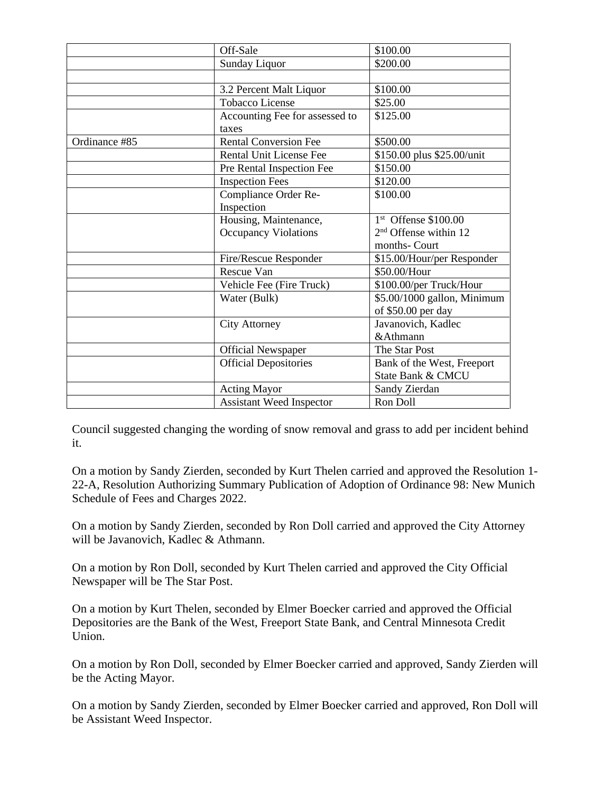|               | Off-Sale                                | \$100.00                    |
|---------------|-----------------------------------------|-----------------------------|
|               | Sunday Liquor                           | \$200.00                    |
|               |                                         |                             |
|               | 3.2 Percent Malt Liquor                 | \$100.00                    |
|               | <b>Tobacco License</b>                  | \$25.00                     |
|               | Accounting Fee for assessed to<br>taxes | \$125.00                    |
| Ordinance #85 | <b>Rental Conversion Fee</b>            | \$500.00                    |
|               | <b>Rental Unit License Fee</b>          | \$150.00 plus \$25.00/unit  |
|               | Pre Rental Inspection Fee               | \$150.00                    |
|               | <b>Inspection Fees</b>                  | \$120.00                    |
|               | Compliance Order Re-                    | \$100.00                    |
|               | Inspection                              |                             |
|               | Housing, Maintenance,                   | $1st$ Offense \$100.00      |
|               | <b>Occupancy Violations</b>             | $2nd$ Offense within 12     |
|               |                                         | months- Court               |
|               | Fire/Rescue Responder                   | \$15.00/Hour/per Responder  |
|               | Rescue Van                              | \$50.00/Hour                |
|               | Vehicle Fee (Fire Truck)                | \$100.00/per Truck/Hour     |
|               | Water (Bulk)                            | \$5.00/1000 gallon, Minimum |
|               |                                         | of \$50.00 per day          |
|               | <b>City Attorney</b>                    | Javanovich, Kadlec          |
|               |                                         | &Athmann                    |
|               | <b>Official Newspaper</b>               | The Star Post               |
|               | <b>Official Depositories</b>            | Bank of the West, Freeport  |
|               |                                         | State Bank & CMCU           |
|               | <b>Acting Mayor</b>                     | Sandy Zierdan               |
|               | <b>Assistant Weed Inspector</b>         | Ron Doll                    |

Council suggested changing the wording of snow removal and grass to add per incident behind it.

On a motion by Sandy Zierden, seconded by Kurt Thelen carried and approved the Resolution 1- 22-A, Resolution Authorizing Summary Publication of Adoption of Ordinance 98: New Munich Schedule of Fees and Charges 2022.

On a motion by Sandy Zierden, seconded by Ron Doll carried and approved the City Attorney will be Javanovich, Kadlec & Athmann.

On a motion by Ron Doll, seconded by Kurt Thelen carried and approved the City Official Newspaper will be The Star Post.

On a motion by Kurt Thelen, seconded by Elmer Boecker carried and approved the Official Depositories are the Bank of the West, Freeport State Bank, and Central Minnesota Credit Union.

On a motion by Ron Doll, seconded by Elmer Boecker carried and approved, Sandy Zierden will be the Acting Mayor.

On a motion by Sandy Zierden, seconded by Elmer Boecker carried and approved, Ron Doll will be Assistant Weed Inspector.